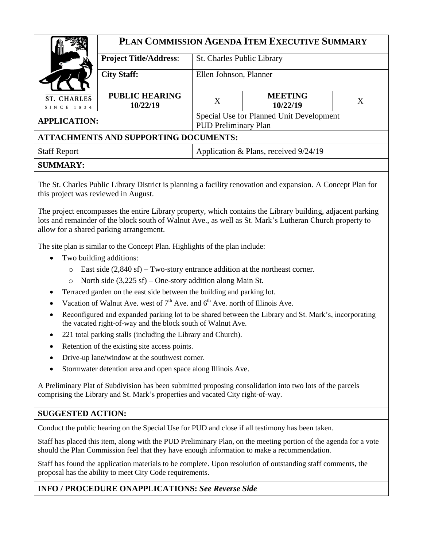|                                              | PLAN COMMISSION AGENDA ITEM EXECUTIVE SUMMARY |                                                                         |                            |         |  |
|----------------------------------------------|-----------------------------------------------|-------------------------------------------------------------------------|----------------------------|---------|--|
|                                              | <b>Project Title/Address:</b>                 | <b>St. Charles Public Library</b>                                       |                            |         |  |
|                                              | <b>City Staff:</b>                            | Ellen Johnson, Planner                                                  |                            |         |  |
| <b>ST. CHARLES</b><br>SINCE 1834             | <b>PUBLIC HEARING</b><br>10/22/19             | X                                                                       | <b>MEETING</b><br>10/22/19 | $\rm X$ |  |
| <b>APPLICATION:</b>                          |                                               | Special Use for Planned Unit Development<br><b>PUD Preliminary Plan</b> |                            |         |  |
| <b>ATTACHMENTS AND SUPPORTING DOCUMENTS:</b> |                                               |                                                                         |                            |         |  |
| <b>Staff Report</b>                          |                                               | Application & Plans, received 9/24/19                                   |                            |         |  |

### **SUMMARY:**

The St. Charles Public Library District is planning a facility renovation and expansion. A Concept Plan for this project was reviewed in August.

The project encompasses the entire Library property, which contains the Library building, adjacent parking lots and remainder of the block south of Walnut Ave., as well as St. Mark's Lutheran Church property to allow for a shared parking arrangement.

The site plan is similar to the Concept Plan. Highlights of the plan include:

- Two building additions:
	- o East side (2,840 sf) Two-story entrance addition at the northeast corner.
	- o North side (3,225 sf) One-story addition along Main St.
- Terraced garden on the east side between the building and parking lot.
- Vacation of Walnut Ave. west of  $7<sup>th</sup>$  Ave. and  $6<sup>th</sup>$  Ave. north of Illinois Ave.
- Reconfigured and expanded parking lot to be shared between the Library and St. Mark's, incorporating the vacated right-of-way and the block south of Walnut Ave.
- 221 total parking stalls (including the Library and Church).
- Retention of the existing site access points.
- Drive-up lane/window at the southwest corner.
- Stormwater detention area and open space along Illinois Ave.

A Preliminary Plat of Subdivision has been submitted proposing consolidation into two lots of the parcels comprising the Library and St. Mark's properties and vacated City right-of-way.

# **SUGGESTED ACTION:**

Conduct the public hearing on the Special Use for PUD and close if all testimony has been taken.

Staff has placed this item, along with the PUD Preliminary Plan, on the meeting portion of the agenda for a vote should the Plan Commission feel that they have enough information to make a recommendation.

Staff has found the application materials to be complete. Upon resolution of outstanding staff comments, the proposal has the ability to meet City Code requirements.

### **INFO / PROCEDURE ONAPPLICATIONS:** *See Reverse Side*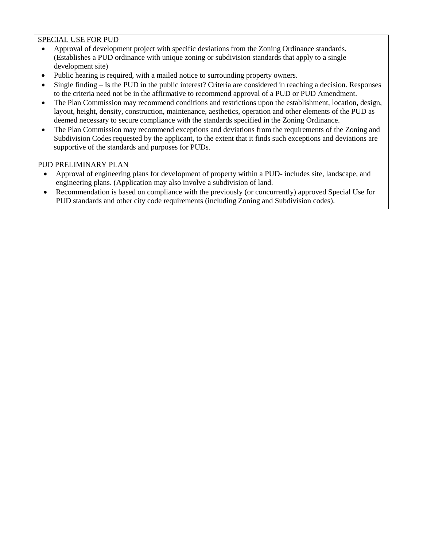### SPECIAL USE FOR PUD

- Approval of development project with specific deviations from the Zoning Ordinance standards. (Establishes a PUD ordinance with unique zoning or subdivision standards that apply to a single development site)
- Public hearing is required, with a mailed notice to surrounding property owners.
- Single finding Is the PUD in the public interest? Criteria are considered in reaching a decision. Responses to the criteria need not be in the affirmative to recommend approval of a PUD or PUD Amendment.
- The Plan Commission may recommend conditions and restrictions upon the establishment, location, design, layout, height, density, construction, maintenance, aesthetics, operation and other elements of the PUD as deemed necessary to secure compliance with the standards specified in the Zoning Ordinance.
- The Plan Commission may recommend exceptions and deviations from the requirements of the Zoning and Subdivision Codes requested by the applicant, to the extent that it finds such exceptions and deviations are supportive of the standards and purposes for PUDs.

#### PUD PRELIMINARY PLAN

- Approval of engineering plans for development of property within a PUD- includes site, landscape, and engineering plans. (Application may also involve a subdivision of land.
- Recommendation is based on compliance with the previously (or concurrently) approved Special Use for PUD standards and other city code requirements (including Zoning and Subdivision codes).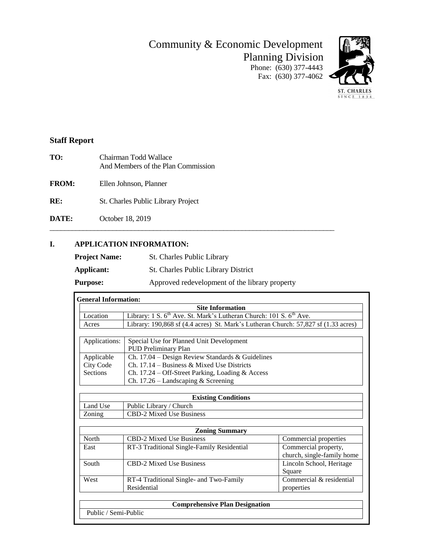Community & Economic Development Planning Division

Phone: (630) 377-4443 Fax: (630) 377-4062



## **Staff Report**

- **TO:** Chairman Todd Wallace And Members of the Plan Commission
- **FROM:** Ellen Johnson, Planner
- **RE:** St. Charles Public Library Project
- **DATE:** October 18, 2019

### **I. APPLICATION INFORMATION:**

| <b>Project Name:</b> | St. Charles Public Library                     |
|----------------------|------------------------------------------------|
| Applicant:           | <b>St. Charles Public Library District</b>     |
| <b>Purpose:</b>      | Approved redevelopment of the library property |

\_\_\_\_\_\_\_\_\_\_\_\_\_\_\_\_\_\_\_\_\_\_\_\_\_\_\_\_\_\_\_\_\_\_\_\_\_\_\_\_\_\_\_\_\_\_\_\_\_\_\_\_\_\_\_\_\_\_\_\_\_\_\_\_\_\_\_\_\_\_\_\_\_\_\_\_\_

|                  | <b>Site Information</b>                                                                    |                                                    |  |  |
|------------------|--------------------------------------------------------------------------------------------|----------------------------------------------------|--|--|
| Location         | Library: 1 S. 6 <sup>th</sup> Ave. St. Mark's Lutheran Church: 101 S. 6 <sup>th</sup> Ave. |                                                    |  |  |
| Acres            | Library: 190,868 sf (4.4 acres) St. Mark's Lutheran Church: 57,827 sf (1.33 acres)         |                                                    |  |  |
|                  |                                                                                            |                                                    |  |  |
| Applications:    | Special Use for Planned Unit Development<br><b>PUD Preliminary Plan</b>                    |                                                    |  |  |
| Applicable       | Ch. 17.04 – Design Review Standards & Guidelines                                           |                                                    |  |  |
| <b>City Code</b> | Ch. $17.14$ – Business & Mixed Use Districts                                               |                                                    |  |  |
| <b>Sections</b>  | Ch. 17.24 – Off-Street Parking, Loading & Access                                           |                                                    |  |  |
|                  | Ch. $17.26$ – Landscaping & Screening                                                      |                                                    |  |  |
|                  |                                                                                            |                                                    |  |  |
|                  | <b>Existing Conditions</b>                                                                 |                                                    |  |  |
| Land Use         | Public Library / Church                                                                    |                                                    |  |  |
| Zoning           | CBD-2 Mixed Use Business                                                                   |                                                    |  |  |
|                  |                                                                                            |                                                    |  |  |
|                  | <b>Zoning Summary</b>                                                                      |                                                    |  |  |
| North            | <b>CBD-2 Mixed Use Business</b>                                                            | Commercial properties                              |  |  |
| East             | RT-3 Traditional Single-Family Residential                                                 | Commercial property,<br>church, single-family home |  |  |
| South            | <b>CBD-2 Mixed Use Business</b>                                                            | Lincoln School, Heritage<br>Square                 |  |  |
| West             | RT-4 Traditional Single- and Two-Family<br>Residential                                     | Commercial & residential<br>properties             |  |  |
|                  |                                                                                            |                                                    |  |  |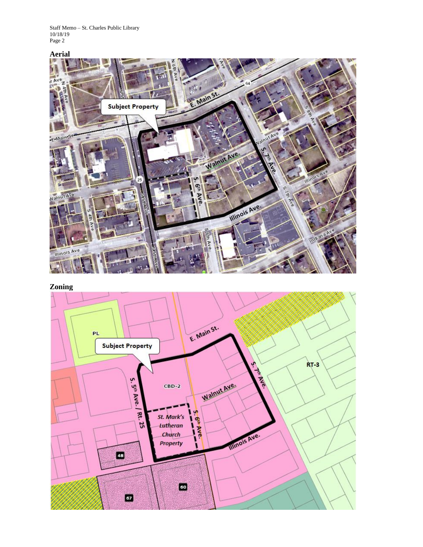Staff Memo – St. Charles Public Library 10/18/19 Page 2



**Zoning**

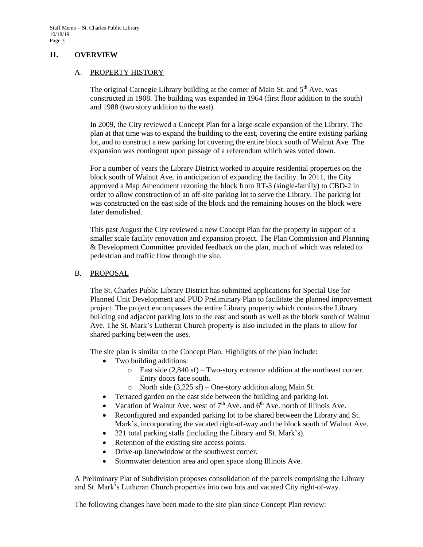### **II. OVERVIEW**

#### A. PROPERTY HISTORY

The original Carnegie Library building at the corner of Main St. and  $5<sup>th</sup>$  Ave. was constructed in 1908. The building was expanded in 1964 (first floor addition to the south) and 1988 (two story addition to the east).

In 2009, the City reviewed a Concept Plan for a large-scale expansion of the Library. The plan at that time was to expand the building to the east, covering the entire existing parking lot, and to construct a new parking lot covering the entire block south of Walnut Ave. The expansion was contingent upon passage of a referendum which was voted down.

For a number of years the Library District worked to acquire residential properties on the block south of Walnut Ave. in anticipation of expanding the facility. In 2011, the City approved a Map Amendment rezoning the block from RT-3 (single-family) to CBD-2 in order to allow construction of an off-site parking lot to serve the Library. The parking lot was constructed on the east side of the block and the remaining houses on the block were later demolished.

This past August the City reviewed a new Concept Plan for the property in support of a smaller scale facility renovation and expansion project. The Plan Commission and Planning & Development Committee provided feedback on the plan, much of which was related to pedestrian and traffic flow through the site.

#### B. PROPOSAL

The St. Charles Public Library District has submitted applications for Special Use for Planned Unit Development and PUD Preliminary Plan to facilitate the planned improvement project. The project encompasses the entire Library property which contains the Library building and adjacent parking lots to the east and south as well as the block south of Walnut Ave. The St. Mark's Lutheran Church property is also included in the plans to allow for shared parking between the uses.

The site plan is similar to the Concept Plan. Highlights of the plan include:

- Two building additions:
	- o East side (2,840 sf) Two-story entrance addition at the northeast corner. Entry doors face south.
	- o North side (3,225 sf) One-story addition along Main St.
	- Terraced garden on the east side between the building and parking lot.
- Vacation of Walnut Ave. west of  $7<sup>th</sup>$  Ave. and  $6<sup>th</sup>$  Ave. north of Illinois Ave.
- Reconfigured and expanded parking lot to be shared between the Library and St. Mark's, incorporating the vacated right-of-way and the block south of Walnut Ave.
- 221 total parking stalls (including the Library and St. Mark's).
- Retention of the existing site access points.
- Drive-up lane/window at the southwest corner.
- Stormwater detention area and open space along Illinois Ave.

A Preliminary Plat of Subdivision proposes consolidation of the parcels comprising the Library and St. Mark's Lutheran Church properties into two lots and vacated City right-of-way.

The following changes have been made to the site plan since Concept Plan review: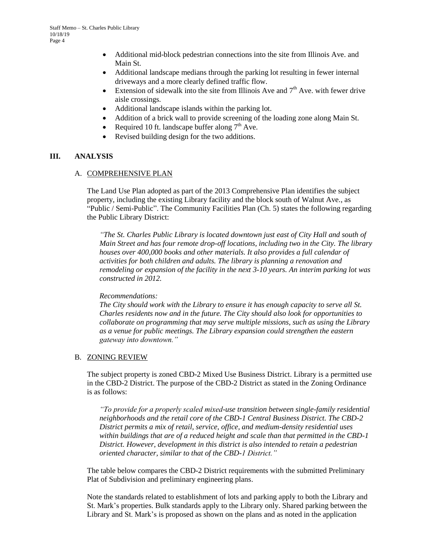- Additional mid-block pedestrian connections into the site from Illinois Ave. and Main St.
- Additional landscape medians through the parking lot resulting in fewer internal driveways and a more clearly defined traffic flow.
- Extension of sidewalk into the site from Illinois Ave and  $7<sup>th</sup>$  Ave. with fewer drive aisle crossings.
- Additional landscape islands within the parking lot.
- Addition of a brick wall to provide screening of the loading zone along Main St.
- Required 10 ft. landscape buffer along  $7<sup>th</sup>$  Ave.
- Revised building design for the two additions.

#### **III. ANALYSIS**

#### A. COMPREHENSIVE PLAN

The Land Use Plan adopted as part of the 2013 Comprehensive Plan identifies the subject property, including the existing Library facility and the block south of Walnut Ave., as "Public / Semi-Public". The Community Facilities Plan (Ch. 5) states the following regarding the Public Library District:

*"The St. Charles Public Library is located downtown just east of City Hall and south of Main Street and has four remote drop-off locations, including two in the City. The library houses over 400,000 books and other materials. It also provides a full calendar of activities for both children and adults. The library is planning a renovation and remodeling or expansion of the facility in the next 3-10 years. An interim parking lot was constructed in 2012.* 

#### *Recommendations:*

*The City should work with the Library to ensure it has enough capacity to serve all St. Charles residents now and in the future. The City should also look for opportunities to collaborate on programming that may serve multiple missions, such as using the Library as a venue for public meetings. The Library expansion could strengthen the eastern gateway into downtown."* 

#### B. ZONING REVIEW

The subject property is zoned CBD-2 Mixed Use Business District. Library is a permitted use in the CBD-2 District. The purpose of the CBD-2 District as stated in the Zoning Ordinance is as follows:

*"To provide for a properly scaled mixed-use transition between single-family residential neighborhoods and the retail core of the CBD-1 Central Business District. The CBD-2 District permits a mix of retail, service, office, and medium-density residential uses within buildings that are of a reduced height and scale than that permitted in the CBD-1 District. However, development in this district is also intended to retain a pedestrian oriented character, similar to that of the CBD-1 District."*

The table below compares the CBD-2 District requirements with the submitted Preliminary Plat of Subdivision and preliminary engineering plans.

Note the standards related to establishment of lots and parking apply to both the Library and St. Mark's properties. Bulk standards apply to the Library only. Shared parking between the Library and St. Mark's is proposed as shown on the plans and as noted in the application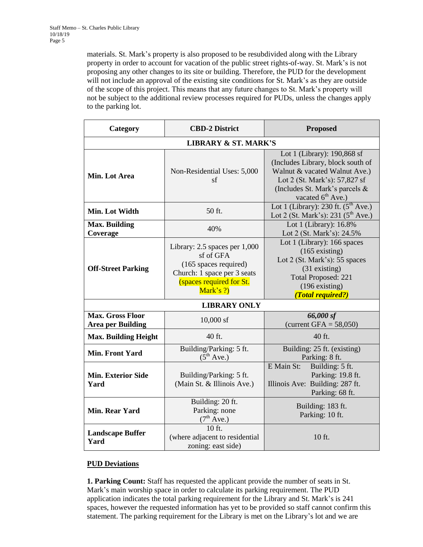materials. St. Mark's property is also proposed to be resubdivided along with the Library property in order to account for vacation of the public street rights-of-way. St. Mark's is not proposing any other changes to its site or building. Therefore, the PUD for the development will not include an approval of the existing site conditions for St. Mark's as they are outside of the scope of this project. This means that any future changes to St. Mark's property will not be subject to the additional review processes required for PUDs, unless the changes apply to the parking lot.

| Category                                            | <b>CBD-2 District</b>                                                                                                                       | <b>Proposed</b>                                                                                                                                                                                       |  |  |  |  |
|-----------------------------------------------------|---------------------------------------------------------------------------------------------------------------------------------------------|-------------------------------------------------------------------------------------------------------------------------------------------------------------------------------------------------------|--|--|--|--|
| <b>LIBRARY &amp; ST. MARK'S</b>                     |                                                                                                                                             |                                                                                                                                                                                                       |  |  |  |  |
| Min. Lot Area                                       | Non-Residential Uses: 5,000<br>sf                                                                                                           | Lot 1 (Library): 190,868 sf<br>(Includes Library, block south of<br>Walnut & vacated Walnut Ave.)<br>Lot 2 (St. Mark's): 57,827 sf<br>(Includes St. Mark's parcels &<br>vacated 6 <sup>th</sup> Ave.) |  |  |  |  |
| Min. Lot Width                                      | 50 ft.                                                                                                                                      | Lot 1 (Library): 230 ft. $(5^{th}$ Ave.)<br>Lot 2 (St. Mark's): 231 ( $5^{\text{th}}$ Ave.)                                                                                                           |  |  |  |  |
| <b>Max. Building</b><br>Coverage                    | 40%                                                                                                                                         | Lot 1 (Library): 16.8%<br>Lot 2 (St. Mark's): 24.5%                                                                                                                                                   |  |  |  |  |
| <b>Off-Street Parking</b>                           | Library: 2.5 spaces per 1,000<br>sf of GFA<br>(165 spaces required)<br>Church: 1 space per 3 seats<br>(spaces required for St.<br>Mark's ?) | Lot 1 (Library): 166 spaces<br>$(165$ existing)<br>Lot 2 (St. Mark's): 55 spaces<br>$(31$ existing)<br><b>Total Proposed: 221</b><br>$(196$ existing)<br>(Total required?)                            |  |  |  |  |
| <b>LIBRARY ONLY</b>                                 |                                                                                                                                             |                                                                                                                                                                                                       |  |  |  |  |
| <b>Max. Gross Floor</b><br><b>Area per Building</b> | $10,000$ sf                                                                                                                                 | 66,000 sf<br>(current GFA = $58,050$ )                                                                                                                                                                |  |  |  |  |
| <b>Max. Building Height</b>                         | 40 ft.                                                                                                                                      | 40 ft.                                                                                                                                                                                                |  |  |  |  |
| <b>Min. Front Yard</b>                              | Building/Parking: 5 ft.<br>$(5^{th}$ Ave.)                                                                                                  | Building: 25 ft. (existing)<br>Parking: 8 ft.                                                                                                                                                         |  |  |  |  |
| <b>Min. Exterior Side</b><br>Yard                   | Building/Parking: 5 ft.<br>(Main St. & Illinois Ave.)                                                                                       | E Main St:<br>Building: 5 ft.<br>Parking: 19.8 ft.<br>Illinois Ave: Building: 287 ft.<br>Parking: 68 ft.                                                                                              |  |  |  |  |
| <b>Min. Rear Yard</b>                               | Building: 20 ft.<br>Parking: none<br>$(7^{\text{th}} \text{ Ave.})$                                                                         | Building: 183 ft.<br>Parking: 10 ft.                                                                                                                                                                  |  |  |  |  |
| <b>Landscape Buffer</b><br>Yard                     | 10 ft.<br>(where adjacent to residential<br>zoning: east side)                                                                              | 10 ft.                                                                                                                                                                                                |  |  |  |  |

### **PUD Deviations**

**1. Parking Count:** Staff has requested the applicant provide the number of seats in St. Mark's main worship space in order to calculate its parking requirement. The PUD application indicates the total parking requirement for the Library and St. Mark's is 241 spaces, however the requested information has yet to be provided so staff cannot confirm this statement. The parking requirement for the Library is met on the Library's lot and we are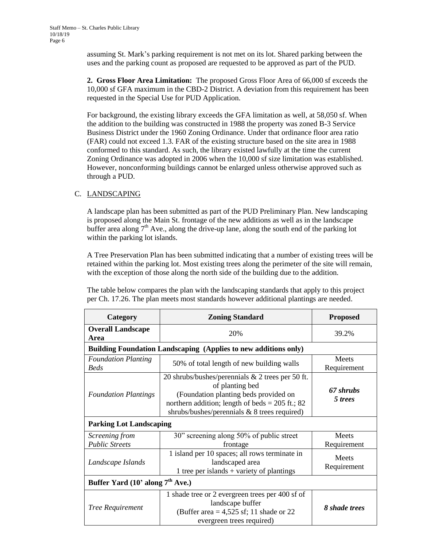assuming St. Mark's parking requirement is not met on its lot. Shared parking between the uses and the parking count as proposed are requested to be approved as part of the PUD.

**2. Gross Floor Area Limitation:** The proposed Gross Floor Area of 66,000 sf exceeds the 10,000 sf GFA maximum in the CBD-2 District. A deviation from this requirement has been requested in the Special Use for PUD Application.

For background, the existing library exceeds the GFA limitation as well, at 58,050 sf. When the addition to the building was constructed in 1988 the property was zoned B-3 Service Business District under the 1960 Zoning Ordinance. Under that ordinance floor area ratio (FAR) could not exceed 1.3. FAR of the existing structure based on the site area in 1988 conformed to this standard. As such, the library existed lawfully at the time the current Zoning Ordinance was adopted in 2006 when the 10,000 sf size limitation was established. However, nonconforming buildings cannot be enlarged unless otherwise approved such as through a PUD.

### C. LANDSCAPING

A landscape plan has been submitted as part of the PUD Preliminary Plan. New landscaping is proposed along the Main St. frontage of the new additions as well as in the landscape buffer area along  $7<sup>th</sup>$  Ave., along the drive-up lane, along the south end of the parking lot within the parking lot islands.

A Tree Preservation Plan has been submitted indicating that a number of existing trees will be retained within the parking lot. Most existing trees along the perimeter of the site will remain, with the exception of those along the north side of the building due to the addition.

The table below compares the plan with the landscaping standards that apply to this project per Ch. 17.26. The plan meets most standards however additional plantings are needed.

| Category                                                               | <b>Zoning Standard</b>                                                                                                                                                                                                | <b>Proposed</b>      |  |  |  |  |
|------------------------------------------------------------------------|-----------------------------------------------------------------------------------------------------------------------------------------------------------------------------------------------------------------------|----------------------|--|--|--|--|
| <b>Overall Landscape</b><br>Area                                       | 20%                                                                                                                                                                                                                   | 39.2%                |  |  |  |  |
| <b>Building Foundation Landscaping (Applies to new additions only)</b> |                                                                                                                                                                                                                       |                      |  |  |  |  |
| <b>Foundation Planting</b><br><b>Beds</b>                              | 50% of total length of new building walls                                                                                                                                                                             |                      |  |  |  |  |
| <b>Foundation Plantings</b>                                            | 20 shrubs/bushes/perennials $& 2$ trees per 50 ft.<br>of planting bed<br>(Foundation planting beds provided on<br>northern addition; length of beds = $205$ ft.; 82<br>shrubs/bushes/perennials $& 8$ trees required) | 67 shrubs<br>5 trees |  |  |  |  |
| <b>Parking Lot Landscaping</b>                                         |                                                                                                                                                                                                                       |                      |  |  |  |  |
| Screening from<br><b>Public Streets</b>                                | 30" screening along 50% of public street<br>frontage                                                                                                                                                                  | Meets<br>Requirement |  |  |  |  |
| Landscape Islands                                                      | 1 island per 10 spaces; all rows terminate in<br>landscaped area<br>1 tree per islands $+$ variety of plantings                                                                                                       | Meets<br>Requirement |  |  |  |  |
| Buffer Yard $(10^{\circ}$ along $7^{\text{th}}$ Ave.)                  |                                                                                                                                                                                                                       |                      |  |  |  |  |
| Tree Requirement                                                       | 1 shade tree or 2 evergreen trees per 400 sf of<br>landscape buffer<br>(Buffer area $= 4,525$ sf; 11 shade or 22<br>evergreen trees required)                                                                         | 8 shade trees        |  |  |  |  |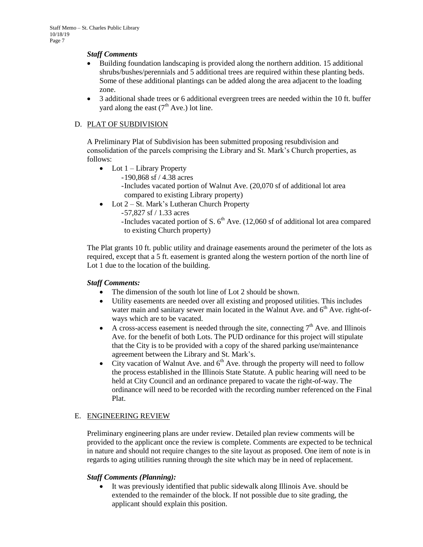#### *Staff Comments*

- Building foundation landscaping is provided along the northern addition. 15 additional shrubs/bushes/perennials and 5 additional trees are required within these planting beds. Some of these additional plantings can be added along the area adjacent to the loading zone.
- 3 additional shade trees or 6 additional evergreen trees are needed within the 10 ft. buffer vard along the east  $(7<sup>th</sup> Ave.)$  lot line.

### D. PLAT OF SUBDIVISION

A Preliminary Plat of Subdivision has been submitted proposing resubdivision and consolidation of the parcels comprising the Library and St. Mark's Church properties, as follows:

- $\bullet$  Lot 1 Library Property
	- -190,868 sf / 4.38 acres
	- -Includes vacated portion of Walnut Ave. (20,070 sf of additional lot area compared to existing Library property)
- Lot 2 St. Mark's Lutheran Church Property
	- -57,827 sf / 1.33 acres
	- -Includes vacated portion of S.  $6<sup>th</sup>$  Ave. (12,060 sf of additional lot area compared to existing Church property)

The Plat grants 10 ft. public utility and drainage easements around the perimeter of the lots as required, except that a 5 ft. easement is granted along the western portion of the north line of Lot 1 due to the location of the building.

### *Staff Comments:*

- The dimension of the south lot line of Lot 2 should be shown.
- Utility easements are needed over all existing and proposed utilities. This includes water main and sanitary sewer main located in the Walnut Ave. and  $6<sup>th</sup>$  Ave. right-ofways which are to be vacated.
- A cross-access easement is needed through the site, connecting  $7<sup>th</sup>$  Ave. and Illinois Ave. for the benefit of both Lots. The PUD ordinance for this project will stipulate that the City is to be provided with a copy of the shared parking use/maintenance agreement between the Library and St. Mark's.
- City vacation of Walnut Ave. and  $6<sup>th</sup>$  Ave. through the property will need to follow the process established in the Illinois State Statute. A public hearing will need to be held at City Council and an ordinance prepared to vacate the right-of-way. The ordinance will need to be recorded with the recording number referenced on the Final Plat.

### E. ENGINEERING REVIEW

Preliminary engineering plans are under review. Detailed plan review comments will be provided to the applicant once the review is complete. Comments are expected to be technical in nature and should not require changes to the site layout as proposed. One item of note is in regards to aging utilities running through the site which may be in need of replacement.

#### *Staff Comments (Planning):*

 It was previously identified that public sidewalk along Illinois Ave. should be extended to the remainder of the block. If not possible due to site grading, the applicant should explain this position.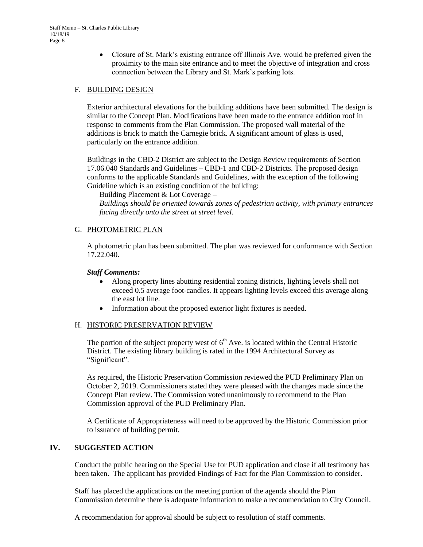Closure of St. Mark's existing entrance off Illinois Ave. would be preferred given the proximity to the main site entrance and to meet the objective of integration and cross connection between the Library and St. Mark's parking lots.

#### F. BUILDING DESIGN

Exterior architectural elevations for the building additions have been submitted. The design is similar to the Concept Plan. Modifications have been made to the entrance addition roof in response to comments from the Plan Commission. The proposed wall material of the additions is brick to match the Carnegie brick. A significant amount of glass is used, particularly on the entrance addition.

Buildings in the CBD-2 District are subject to the Design Review requirements of Section 17.06.040 Standards and Guidelines – CBD-1 and CBD-2 Districts. The proposed design conforms to the applicable Standards and Guidelines, with the exception of the following Guideline which is an existing condition of the building:

Building Placement & Lot Coverage –

*Buildings should be oriented towards zones of pedestrian activity, with primary entrances facing directly onto the street at street level.* 

#### G. PHOTOMETRIC PLAN

A photometric plan has been submitted. The plan was reviewed for conformance with Section 17.22.040.

#### *Staff Comments:*

- Along property lines abutting residential zoning districts, lighting levels shall not exceed 0.5 average foot-candles. It appears lighting levels exceed this average along the east lot line.
- Information about the proposed exterior light fixtures is needed.

### H. HISTORIC PRESERVATION REVIEW

The portion of the subject property west of  $6<sup>th</sup>$  Ave. is located within the Central Historic District. The existing library building is rated in the 1994 Architectural Survey as "Significant".

As required, the Historic Preservation Commission reviewed the PUD Preliminary Plan on October 2, 2019. Commissioners stated they were pleased with the changes made since the Concept Plan review. The Commission voted unanimously to recommend to the Plan Commission approval of the PUD Preliminary Plan.

A Certificate of Appropriateness will need to be approved by the Historic Commission prior to issuance of building permit.

#### **IV. SUGGESTED ACTION**

Conduct the public hearing on the Special Use for PUD application and close if all testimony has been taken. The applicant has provided Findings of Fact for the Plan Commission to consider.

Staff has placed the applications on the meeting portion of the agenda should the Plan Commission determine there is adequate information to make a recommendation to City Council.

A recommendation for approval should be subject to resolution of staff comments.